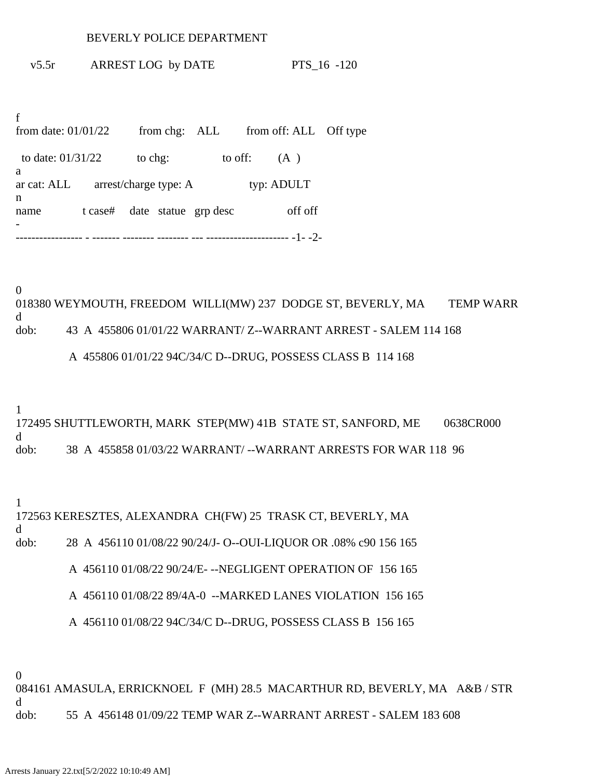## BEVERLY POLICE DEPARTMENT

v5.5r ARREST LOG by DATE PTS\_16 -120

f from date:  $01/01/22$  from chg: ALL from off: ALL Off type to date:  $01/31/22$  to chg: to off: (A) a ar cat: ALL arrest/charge type: A typ: ADULT n name t case# date statue grp desc off off - ----------------- - ------- -------- -------- --- --------------------- -1- -2-

0 018380 WEYMOUTH, FREEDOM WILLI(MW) 237 DODGE ST, BEVERLY, MA TEMP WARR d dob: 43 A 455806 01/01/22 WARRANT/ Z--WARRANT ARREST - SALEM 114 168

A 455806 01/01/22 94C/34/C D--DRUG, POSSESS CLASS B 114 168

1 172495 SHUTTLEWORTH, MARK STEP(MW) 41B STATE ST, SANFORD, ME 0638CR000 d dob: 38 A 455858 01/03/22 WARRANT/ --WARRANT ARRESTS FOR WAR 118 96

1

d

172563 KERESZTES, ALEXANDRA CH(FW) 25 TRASK CT, BEVERLY, MA

dob: 28 A 456110 01/08/22 90/24/J- O--OUI-LIQUOR OR .08% c90 156 165

A 456110 01/08/22 90/24/E- --NEGLIGENT OPERATION OF 156 165

A 456110 01/08/22 89/4A-0 --MARKED LANES VIOLATION 156 165

A 456110 01/08/22 94C/34/C D--DRUG, POSSESS CLASS B 156 165

0

084161 AMASULA, ERRICKNOEL F (MH) 28.5 MACARTHUR RD, BEVERLY, MA A&B / STR d dob: 55 A 456148 01/09/22 TEMP WAR Z--WARRANT ARREST - SALEM 183 608